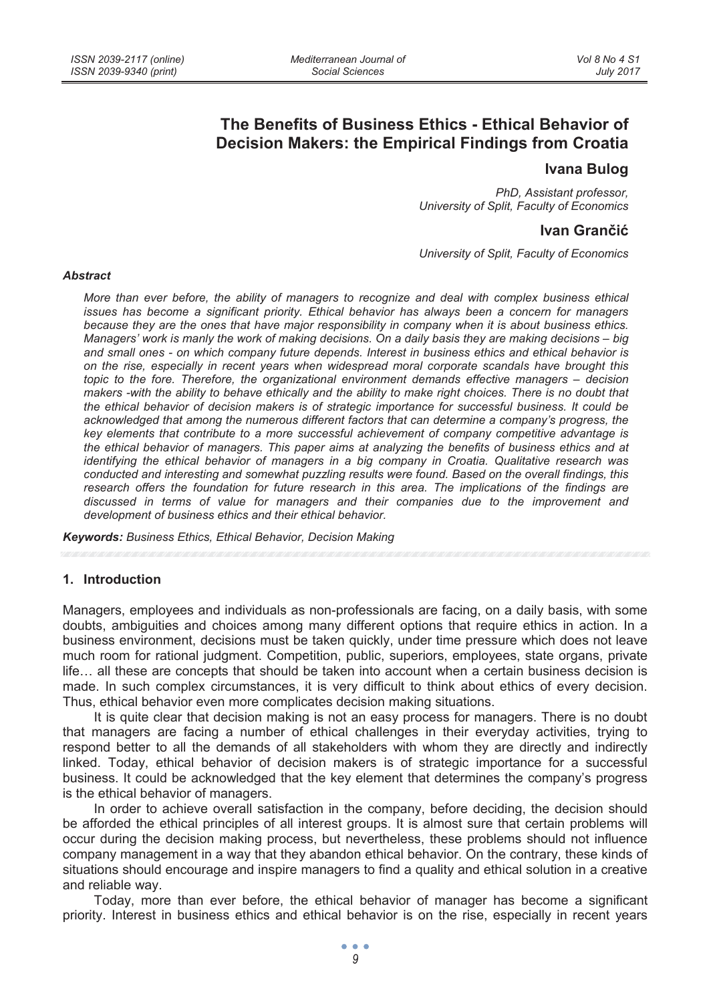# **The Benefits of Business Ethics - Ethical Behavior of Decision Makers: the Empirical Findings from Croatia**

# **Ivana Bulog**

*PhD, Assistant professor, University of Split, Faculty of Economics* 

## **Ivan Granþiü**

*University of Split, Faculty of Economics* 

#### *Abstract*

*More than ever before, the ability of managers to recognize and deal with complex business ethical issues has become a significant priority. Ethical behavior has always been a concern for managers because they are the ones that have major responsibility in company when it is about business ethics. Managers' work is manly the work of making decisions. On a daily basis they are making decisions – big and small ones - on which company future depends. Interest in business ethics and ethical behavior is on the rise, especially in recent years when widespread moral corporate scandals have brought this topic to the fore. Therefore, the organizational environment demands effective managers – decision makers -with the ability to behave ethically and the ability to make right choices. There is no doubt that the ethical behavior of decision makers is of strategic importance for successful business. It could be acknowledged that among the numerous different factors that can determine a company's progress, the key elements that contribute to a more successful achievement of company competitive advantage is the ethical behavior of managers. This paper aims at analyzing the benefits of business ethics and at identifying the ethical behavior of managers in a big company in Croatia. Qualitative research was conducted and interesting and somewhat puzzling results were found. Based on the overall findings, this research offers the foundation for future research in this area. The implications of the findings are discussed in terms of value for managers and their companies due to the improvement and development of business ethics and their ethical behavior.* 

*Keywords: Business Ethics, Ethical Behavior, Decision Making* 

#### **1. Introduction**

Managers, employees and individuals as non-professionals are facing, on a daily basis, with some doubts, ambiguities and choices among many different options that require ethics in action. In a business environment, decisions must be taken quickly, under time pressure which does not leave much room for rational judgment. Competition, public, superiors, employees, state organs, private life… all these are concepts that should be taken into account when a certain business decision is made. In such complex circumstances, it is very difficult to think about ethics of every decision. Thus, ethical behavior even more complicates decision making situations.

It is quite clear that decision making is not an easy process for managers. There is no doubt that managers are facing a number of ethical challenges in their everyday activities, trying to respond better to all the demands of all stakeholders with whom they are directly and indirectly linked. Today, ethical behavior of decision makers is of strategic importance for a successful business. It could be acknowledged that the key element that determines the company's progress is the ethical behavior of managers.

In order to achieve overall satisfaction in the company, before deciding, the decision should be afforded the ethical principles of all interest groups. It is almost sure that certain problems will occur during the decision making process, but nevertheless, these problems should not influence company management in a way that they abandon ethical behavior. On the contrary, these kinds of situations should encourage and inspire managers to find a quality and ethical solution in a creative and reliable way.

Today, more than ever before, the ethical behavior of manager has become a significant priority. Interest in business ethics and ethical behavior is on the rise, especially in recent years

 $\bullet$   $\bullet$   $\bullet$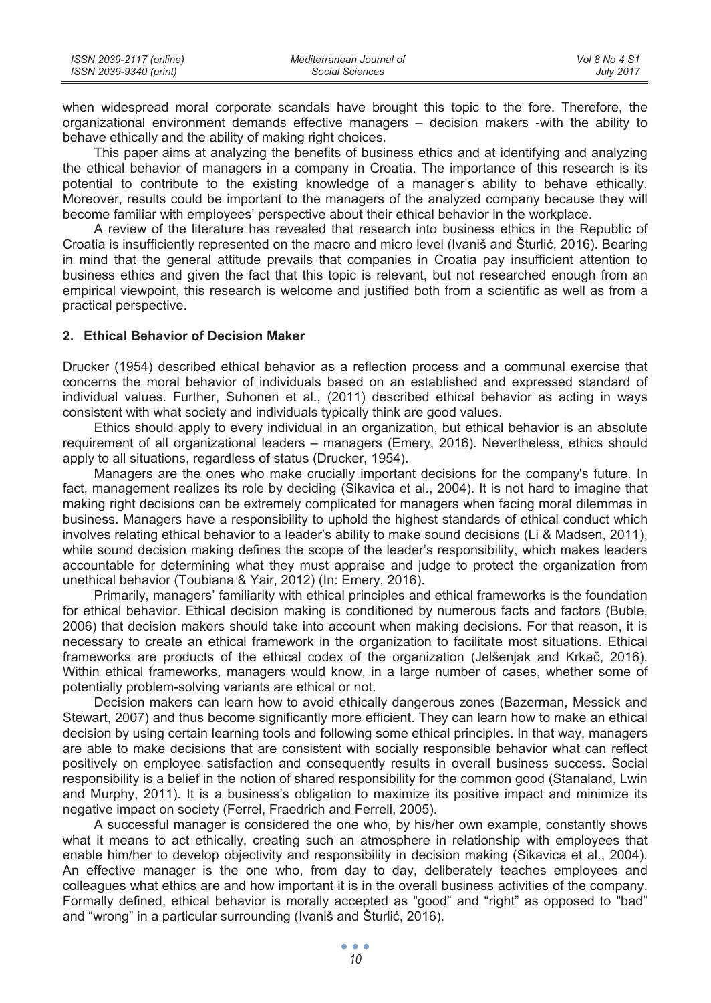| ISSN 2039-2117 (online) | Mediterranean Journal of | Vol 8 No 4 S1    |
|-------------------------|--------------------------|------------------|
| ISSN 2039-9340 (print)  | Social Sciences          | <b>July 2017</b> |

when widespread moral corporate scandals have brought this topic to the fore. Therefore, the organizational environment demands effective managers – decision makers -with the ability to behave ethically and the ability of making right choices.

This paper aims at analyzing the benefits of business ethics and at identifying and analyzing the ethical behavior of managers in a company in Croatia. The importance of this research is its potential to contribute to the existing knowledge of a manager's ability to behave ethically. Moreover, results could be important to the managers of the analyzed company because they will become familiar with employees' perspective about their ethical behavior in the workplace.

A review of the literature has revealed that research into business ethics in the Republic of Croatia is insufficiently represented on the macro and micro level (Ivaniš and Šturlić, 2016). Bearing in mind that the general attitude prevails that companies in Croatia pay insufficient attention to business ethics and given the fact that this topic is relevant, but not researched enough from an empirical viewpoint, this research is welcome and justified both from a scientific as well as from a practical perspective.

### **2. Ethical Behavior of Decision Maker**

Drucker (1954) described ethical behavior as a reflection process and a communal exercise that concerns the moral behavior of individuals based on an established and expressed standard of individual values. Further, Suhonen et al., (2011) described ethical behavior as acting in ways consistent with what society and individuals typically think are good values.

Ethics should apply to every individual in an organization, but ethical behavior is an absolute requirement of all organizational leaders – managers (Emery, 2016). Nevertheless, ethics should apply to all situations, regardless of status (Drucker, 1954).

Managers are the ones who make crucially important decisions for the company's future. In fact, management realizes its role by deciding (Sikavica et al., 2004). It is not hard to imagine that making right decisions can be extremely complicated for managers when facing moral dilemmas in business. Managers have a responsibility to uphold the highest standards of ethical conduct which involves relating ethical behavior to a leader's ability to make sound decisions (Li & Madsen, 2011), while sound decision making defines the scope of the leader's responsibility, which makes leaders accountable for determining what they must appraise and judge to protect the organization from unethical behavior (Toubiana & Yair, 2012) (In: Emery, 2016).

Primarily, managers' familiarity with ethical principles and ethical frameworks is the foundation for ethical behavior. Ethical decision making is conditioned by numerous facts and factors (Buble, 2006) that decision makers should take into account when making decisions. For that reason, it is necessary to create an ethical framework in the organization to facilitate most situations. Ethical frameworks are products of the ethical codex of the organization (Jelšenjak and Krkač, 2016). Within ethical frameworks, managers would know, in a large number of cases, whether some of potentially problem-solving variants are ethical or not.

Decision makers can learn how to avoid ethically dangerous zones (Bazerman, Messick and Stewart, 2007) and thus become significantly more efficient. They can learn how to make an ethical decision by using certain learning tools and following some ethical principles. In that way, managers are able to make decisions that are consistent with socially responsible behavior what can reflect positively on employee satisfaction and consequently results in overall business success. Social responsibility is a belief in the notion of shared responsibility for the common good (Stanaland, Lwin and Murphy, 2011). It is a business's obligation to maximize its positive impact and minimize its negative impact on society (Ferrel, Fraedrich and Ferrell, 2005).

A successful manager is considered the one who, by his/her own example, constantly shows what it means to act ethically, creating such an atmosphere in relationship with employees that enable him/her to develop objectivity and responsibility in decision making (Sikavica et al., 2004). An effective manager is the one who, from day to day, deliberately teaches employees and colleagues what ethics are and how important it is in the overall business activities of the company. Formally defined, ethical behavior is morally accepted as "good" and "right" as opposed to "bad" and "wrong" in a particular surrounding (Ivaniš and Šturlić, 2016).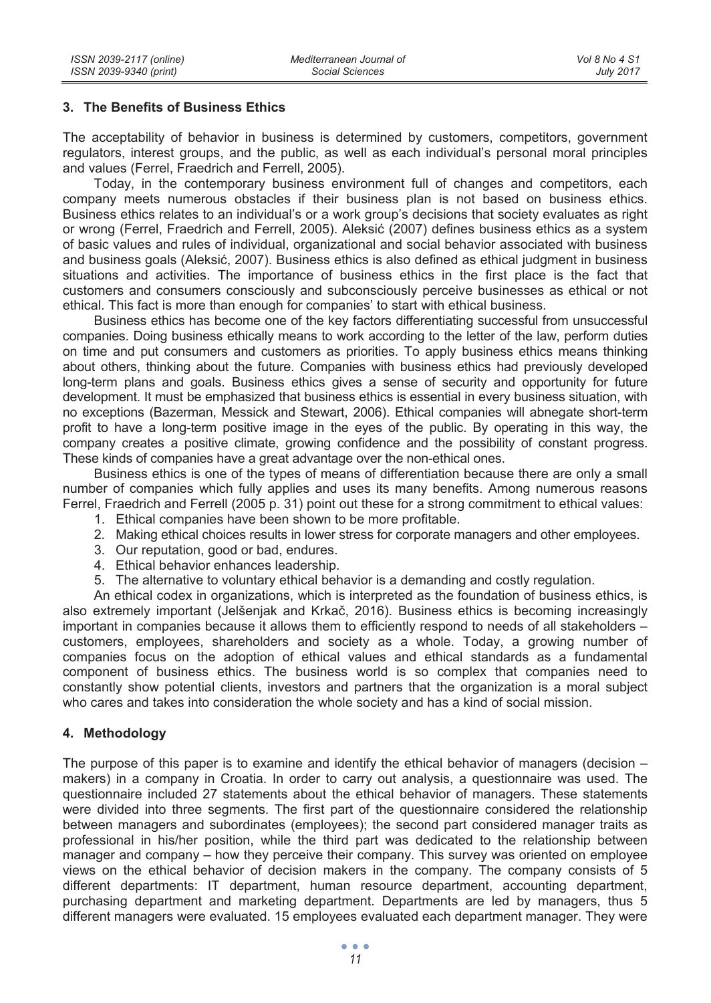## **3. The Benefits of Business Ethics**

The acceptability of behavior in business is determined by customers, competitors, government regulators, interest groups, and the public, as well as each individual's personal moral principles and values (Ferrel, Fraedrich and Ferrell, 2005).

Today, in the contemporary business environment full of changes and competitors, each company meets numerous obstacles if their business plan is not based on business ethics. Business ethics relates to an individual's or a work group's decisions that society evaluates as right or wrong (Ferrel, Fraedrich and Ferrell, 2005). Aleksić (2007) defines business ethics as a system of basic values and rules of individual, organizational and social behavior associated with business and business goals (Aleksić, 2007). Business ethics is also defined as ethical judgment in business situations and activities. The importance of business ethics in the first place is the fact that customers and consumers consciously and subconsciously perceive businesses as ethical or not ethical. This fact is more than enough for companies' to start with ethical business.

Business ethics has become one of the key factors differentiating successful from unsuccessful companies. Doing business ethically means to work according to the letter of the law, perform duties on time and put consumers and customers as priorities. To apply business ethics means thinking about others, thinking about the future. Companies with business ethics had previously developed long-term plans and goals. Business ethics gives a sense of security and opportunity for future development. It must be emphasized that business ethics is essential in every business situation, with no exceptions (Bazerman, Messick and Stewart, 2006). Ethical companies will abnegate short-term profit to have a long-term positive image in the eyes of the public. By operating in this way, the company creates a positive climate, growing confidence and the possibility of constant progress. These kinds of companies have a great advantage over the non-ethical ones.

Business ethics is one of the types of means of differentiation because there are only a small number of companies which fully applies and uses its many benefits. Among numerous reasons Ferrel, Fraedrich and Ferrell (2005 p. 31) point out these for a strong commitment to ethical values:

- 1. Ethical companies have been shown to be more profitable.
- 2. Making ethical choices results in lower stress for corporate managers and other employees.
- 3. Our reputation, good or bad, endures.
- 4. Ethical behavior enhances leadership.
- 5. The alternative to voluntary ethical behavior is a demanding and costly regulation.

An ethical codex in organizations, which is interpreted as the foundation of business ethics, is also extremely important (Jelšenjak and Krkač, 2016). Business ethics is becoming increasingly important in companies because it allows them to efficiently respond to needs of all stakeholders – customers, employees, shareholders and society as a whole. Today, a growing number of companies focus on the adoption of ethical values and ethical standards as a fundamental component of business ethics. The business world is so complex that companies need to constantly show potential clients, investors and partners that the organization is a moral subject who cares and takes into consideration the whole society and has a kind of social mission.

### **4. Methodology**

The purpose of this paper is to examine and identify the ethical behavior of managers (decision – makers) in a company in Croatia. In order to carry out analysis, a questionnaire was used. The questionnaire included 27 statements about the ethical behavior of managers. These statements were divided into three segments. The first part of the questionnaire considered the relationship between managers and subordinates (employees); the second part considered manager traits as professional in his/her position, while the third part was dedicated to the relationship between manager and company – how they perceive their company. This survey was oriented on employee views on the ethical behavior of decision makers in the company. The company consists of 5 different departments: IT department, human resource department, accounting department, purchasing department and marketing department. Departments are led by managers, thus 5 different managers were evaluated. 15 employees evaluated each department manager. They were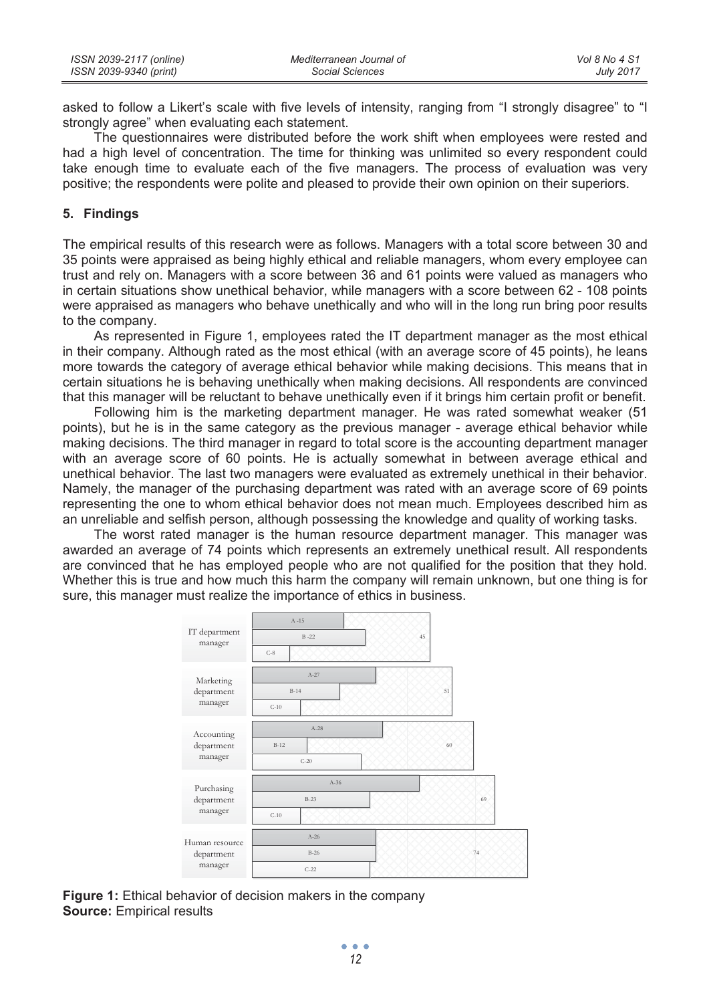| ISSN 2039-2117 (online) | Mediterranean Journal of | Vol 8 No 4 S1    |
|-------------------------|--------------------------|------------------|
| ISSN 2039-9340 (print)  | Social Sciences          | <b>July 2017</b> |

asked to follow a Likert's scale with five levels of intensity, ranging from "I strongly disagree" to "I strongly agree" when evaluating each statement.

The questionnaires were distributed before the work shift when employees were rested and had a high level of concentration. The time for thinking was unlimited so every respondent could take enough time to evaluate each of the five managers. The process of evaluation was very positive; the respondents were polite and pleased to provide their own opinion on their superiors.

## **5. Findings**

The empirical results of this research were as follows. Managers with a total score between 30 and 35 points were appraised as being highly ethical and reliable managers, whom every employee can trust and rely on. Managers with a score between 36 and 61 points were valued as managers who in certain situations show unethical behavior, while managers with a score between 62 - 108 points were appraised as managers who behave unethically and who will in the long run bring poor results to the company.

As represented in Figure 1, employees rated the IT department manager as the most ethical in their company. Although rated as the most ethical (with an average score of 45 points), he leans more towards the category of average ethical behavior while making decisions. This means that in certain situations he is behaving unethically when making decisions. All respondents are convinced that this manager will be reluctant to behave unethically even if it brings him certain profit or benefit.

Following him is the marketing department manager. He was rated somewhat weaker (51 points), but he is in the same category as the previous manager - average ethical behavior while making decisions. The third manager in regard to total score is the accounting department manager with an average score of 60 points. He is actually somewhat in between average ethical and unethical behavior. The last two managers were evaluated as extremely unethical in their behavior. Namely, the manager of the purchasing department was rated with an average score of 69 points representing the one to whom ethical behavior does not mean much. Employees described him as an unreliable and selfish person, although possessing the knowledge and quality of working tasks.

The worst rated manager is the human resource department manager. This manager was awarded an average of 74 points which represents an extremely unethical result. All respondents are convinced that he has employed people who are not qualified for the position that they hold. Whether this is true and how much this harm the company will remain unknown, but one thing is for sure, this manager must realize the importance of ethics in business.

| IT department<br>manager                | $A - 15$<br>$B - 22$<br>$C-8$ | 45 |
|-----------------------------------------|-------------------------------|----|
| Marketing<br>department<br>manager      | $A-27$<br>$B-14$<br>$C-10$    | 51 |
| Accounting<br>department<br>manager     | $A-28$<br>$B-12$<br>$C-20$    | 60 |
| Purchasing<br>department<br>manager     | $A-36$<br>$B-23$<br>$C-10$    | 69 |
| Human resource<br>department<br>manager | $A-26$<br>$B-26$<br>$C-22$    | 74 |

**Figure 1:** Ethical behavior of decision makers in the company **Source:** Empirical results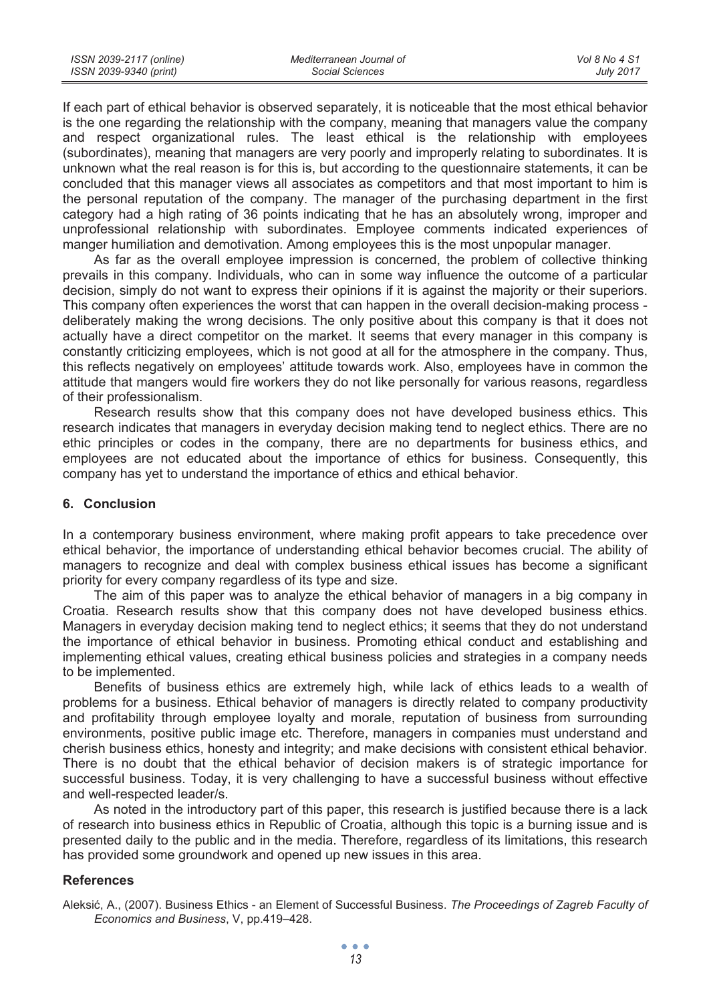| ISSN 2039-2117 (online) | Mediterranean Journal of | Vol 8 No 4 S1    |
|-------------------------|--------------------------|------------------|
| ISSN 2039-9340 (print)  | Social Sciences          | <b>July 2017</b> |

If each part of ethical behavior is observed separately, it is noticeable that the most ethical behavior is the one regarding the relationship with the company, meaning that managers value the company and respect organizational rules. The least ethical is the relationship with employees (subordinates), meaning that managers are very poorly and improperly relating to subordinates. It is unknown what the real reason is for this is, but according to the questionnaire statements, it can be concluded that this manager views all associates as competitors and that most important to him is the personal reputation of the company. The manager of the purchasing department in the first category had a high rating of 36 points indicating that he has an absolutely wrong, improper and unprofessional relationship with subordinates. Employee comments indicated experiences of manger humiliation and demotivation. Among employees this is the most unpopular manager.

As far as the overall employee impression is concerned, the problem of collective thinking prevails in this company. Individuals, who can in some way influence the outcome of a particular decision, simply do not want to express their opinions if it is against the majority or their superiors. This company often experiences the worst that can happen in the overall decision-making process deliberately making the wrong decisions. The only positive about this company is that it does not actually have a direct competitor on the market. It seems that every manager in this company is constantly criticizing employees, which is not good at all for the atmosphere in the company. Thus, this reflects negatively on employees' attitude towards work. Also, employees have in common the attitude that mangers would fire workers they do not like personally for various reasons, regardless of their professionalism.

Research results show that this company does not have developed business ethics. This research indicates that managers in everyday decision making tend to neglect ethics. There are no ethic principles or codes in the company, there are no departments for business ethics, and employees are not educated about the importance of ethics for business. Consequently, this company has yet to understand the importance of ethics and ethical behavior.

#### **6. Conclusion**

In a contemporary business environment, where making profit appears to take precedence over ethical behavior, the importance of understanding ethical behavior becomes crucial. The ability of managers to recognize and deal with complex business ethical issues has become a significant priority for every company regardless of its type and size.

The aim of this paper was to analyze the ethical behavior of managers in a big company in Croatia. Research results show that this company does not have developed business ethics. Managers in everyday decision making tend to neglect ethics; it seems that they do not understand the importance of ethical behavior in business. Promoting ethical conduct and establishing and implementing ethical values, creating ethical business policies and strategies in a company needs to be implemented.

Benefits of business ethics are extremely high, while lack of ethics leads to a wealth of problems for a business. Ethical behavior of managers is directly related to company productivity and profitability through employee loyalty and morale, reputation of business from surrounding environments, positive public image etc. Therefore, managers in companies must understand and cherish business ethics, honesty and integrity; and make decisions with consistent ethical behavior. There is no doubt that the ethical behavior of decision makers is of strategic importance for successful business. Today, it is very challenging to have a successful business without effective and well-respected leader/s.

As noted in the introductory part of this paper, this research is justified because there is a lack of research into business ethics in Republic of Croatia, although this topic is a burning issue and is presented daily to the public and in the media. Therefore, regardless of its limitations, this research has provided some groundwork and opened up new issues in this area.

#### **References**

Aleksiü, A., (2007). Business Ethics - an Element of Successful Business. *The Proceedings of Zagreb Faculty of Economics and Business*, V, pp.419–428.